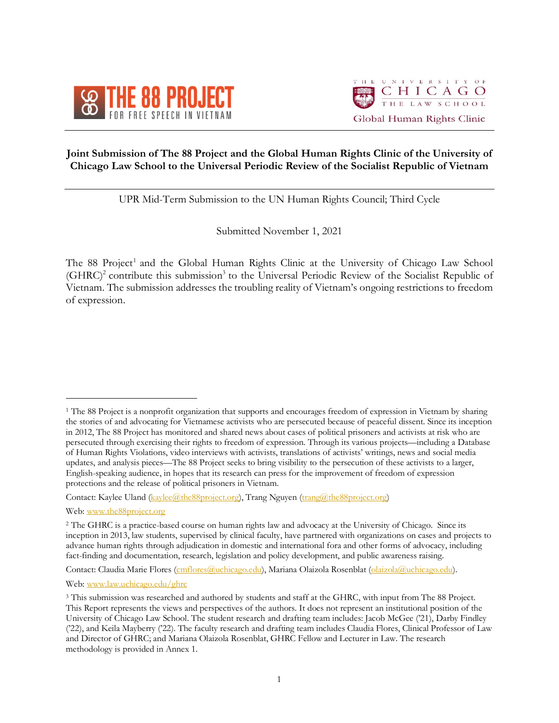



# **Joint Submission of The 88 Project and the Global Human Rights Clinic of the University of Chicago Law School to the Universal Periodic Review of the Socialist Republic of Vietnam**

UPR Mid-Term Submission to the UN Human Rights Council; Third Cycle

Submitted November 1, 2021

The 88 Project<sup>1</sup> and the Global Human Rights Clinic at the University of Chicago Law School (GHRC)<sup>2</sup> contribute this submission<sup>3</sup> to the Universal Periodic Review of the Socialist Republic of Vietnam. The submission addresses the troubling reality of Vietnam's ongoing restrictions to freedom of expression.

 $\overline{a}$ 

Contact: Claudia Marie Flores (cmflores@uchicago.edu), Mariana Olaizola Rosenblat (olaizola@uchicago.edu).

Web: www.law.uchicago.edu/ghrc

<sup>&</sup>lt;sup>1</sup> The 88 Project is a nonprofit organization that supports and encourages freedom of expression in Vietnam by sharing the stories of and advocating for Vietnamese activists who are persecuted because of peaceful dissent. Since its inception in 2012, The 88 Project has monitored and shared news about cases of political prisoners and activists at risk who are persecuted through exercising their rights to freedom of expression. Through its various projects—including a Database of Human Rights Violations, video interviews with activists, translations of activists' writings, news and social media updates, and analysis pieces—The 88 Project seeks to bring visibility to the persecution of these activists to a larger, English-speaking audience, in hopes that its research can press for the improvement of freedom of expression protections and the release of political prisoners in Vietnam.

Contact: Kaylee Uland (kaylee@the88project.org), Trang Nguyen (trang@the88project.org)

Web: www.the88project.org

<sup>2</sup> The GHRC is a practice-based course on human rights law and advocacy at the University of Chicago. Since its inception in 2013, law students, supervised by clinical faculty, have partnered with organizations on cases and projects to advance human rights through adjudication in domestic and international fora and other forms of advocacy, including fact-finding and documentation, research, legislation and policy development, and public awareness raising.

<sup>3</sup> This submission was researched and authored by students and staff at the GHRC, with input from The 88 Project. This Report represents the views and perspectives of the authors. It does not represent an institutional position of the University of Chicago Law School. The student research and drafting team includes: Jacob McGee ('21), Darby Findley ('22), and Keila Mayberry ('22). The faculty research and drafting team includes Claudia Flores, Clinical Professor of Law and Director of GHRC; and Mariana Olaizola Rosenblat, GHRC Fellow and Lecturer in Law. The research methodology is provided in Annex 1.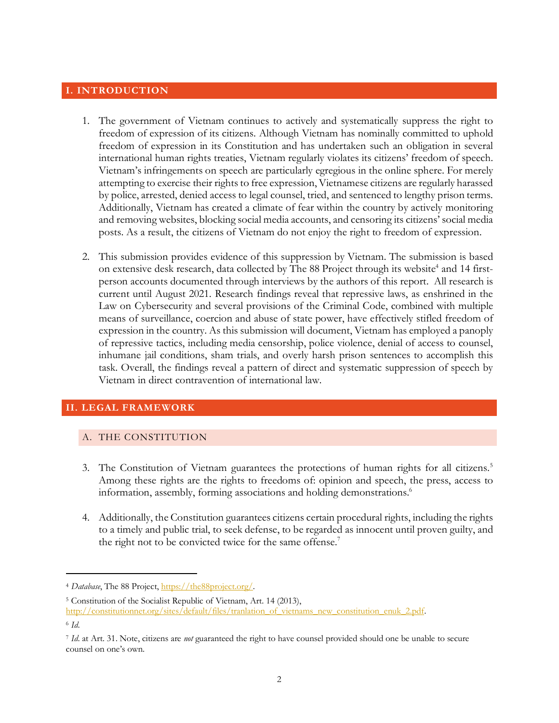# **I. INTRODUCTION**

- 1. The government of Vietnam continues to actively and systematically suppress the right to freedom of expression of its citizens. Although Vietnam has nominally committed to uphold freedom of expression in its Constitution and has undertaken such an obligation in several international human rights treaties, Vietnam regularly violates its citizens' freedom of speech. Vietnam's infringements on speech are particularly egregious in the online sphere. For merely attempting to exercise their rights to free expression, Vietnamese citizens are regularly harassed by police, arrested, denied access to legal counsel, tried, and sentenced to lengthy prison terms. Additionally, Vietnam has created a climate of fear within the country by actively monitoring and removing websites, blocking social media accounts, and censoring its citizens' social media posts. As a result, the citizens of Vietnam do not enjoy the right to freedom of expression.
- 2. This submission provides evidence of this suppression by Vietnam. The submission is based on extensive desk research, data collected by The 88 Project through its website<sup>4</sup> and 14 firstperson accounts documented through interviews by the authors of this report. All research is current until August 2021. Research findings reveal that repressive laws, as enshrined in the Law on Cybersecurity and several provisions of the Criminal Code, combined with multiple means of surveillance, coercion and abuse of state power, have effectively stifled freedom of expression in the country. As this submission will document, Vietnam has employed a panoply of repressive tactics, including media censorship, police violence, denial of access to counsel, inhumane jail conditions, sham trials, and overly harsh prison sentences to accomplish this task. Overall, the findings reveal a pattern of direct and systematic suppression of speech by Vietnam in direct contravention of international law.

# **II. LEGAL FRAMEWORK**

## A. THE CONSTITUTION

- 3. The Constitution of Vietnam guarantees the protections of human rights for all citizens.5 Among these rights are the rights to freedoms of: opinion and speech, the press, access to information, assembly, forming associations and holding demonstrations.<sup>6</sup>
- 4. Additionally, the Constitution guarantees citizens certain procedural rights, including the rights to a timely and public trial, to seek defense, to be regarded as innocent until proven guilty, and the right not to be convicted twice for the same offense.<sup>7</sup>

<sup>4</sup> *Database*, The 88 Project, https://the88project.org/.

<sup>5</sup> Constitution of the Socialist Republic of Vietnam, Art. 14 (2013), http://constitutionnet.org/sites/default/files/tranlation\_of\_vietnams\_new\_constitution\_enuk\_2.pdf.

<sup>6</sup> *Id*.

<sup>7</sup> *Id*. at Art. 31. Note, citizens are *not* guaranteed the right to have counsel provided should one be unable to secure counsel on one's own.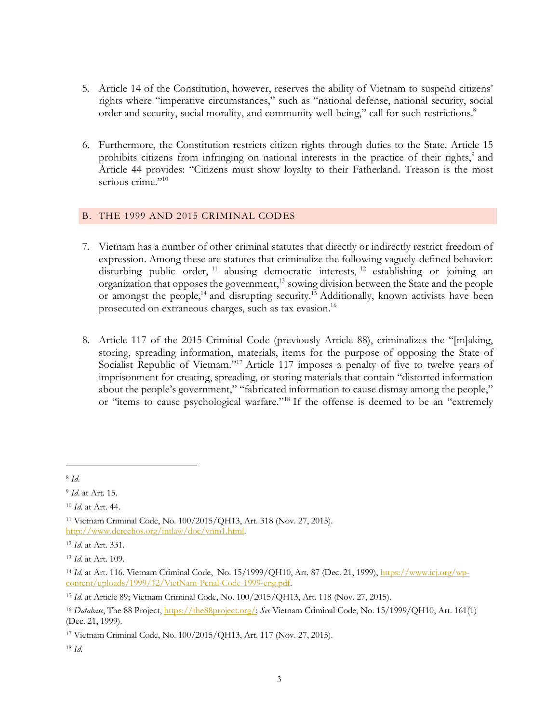- 5. Article 14 of the Constitution, however, reserves the ability of Vietnam to suspend citizens' rights where "imperative circumstances," such as "national defense, national security, social order and security, social morality, and community well-being," call for such restrictions.<sup>8</sup>
- 6. Furthermore, the Constitution restricts citizen rights through duties to the State. Article 15 prohibits citizens from infringing on national interests in the practice of their rights,<sup>9</sup> and Article 44 provides: "Citizens must show loyalty to their Fatherland. Treason is the most serious crime."<sup>10</sup>

## B. THE 1999 AND 2015 CRIMINAL CODES

- 7. Vietnam has a number of other criminal statutes that directly or indirectly restrict freedom of expression. Among these are statutes that criminalize the following vaguely-defined behavior: disturbing public order,  $11$  abusing democratic interests,  $12$  establishing or joining an organization that opposes the government,<sup>13</sup> sowing division between the State and the people or amongst the people,<sup>14</sup> and disrupting security.<sup>15</sup> Additionally, known activists have been prosecuted on extraneous charges, such as tax evasion.16
- 8. Article 117 of the 2015 Criminal Code (previously Article 88), criminalizes the "[m]aking, storing, spreading information, materials, items for the purpose of opposing the State of Socialist Republic of Vietnam."<sup>17</sup> Article 117 imposes a penalty of five to twelve years of imprisonment for creating, spreading, or storing materials that contain "distorted information about the people's government," "fabricated information to cause dismay among the people," or "items to cause psychological warfare."18 If the offense is deemed to be an "extremely

<sup>8</sup> *Id*.

<sup>9</sup> *Id*. at Art. 15.

<sup>10</sup> *Id*. at Art. 44.

<sup>11</sup> Vietnam Criminal Code, No. 100/2015/QH13, Art. 318 (Nov. 27, 2015). http://www.derechos.org/intlaw/doc/vnm1.html.

<sup>12</sup> *Id*. at Art. 331.

<sup>13</sup> *Id*. at Art. 109.

<sup>14</sup> *Id*. at Art. 116. Vietnam Criminal Code, No. 15/1999/QH10, Art. 87 (Dec. 21, 1999), https://www.icj.org/wpcontent/uploads/1999/12/VietNam-Penal-Code-1999-eng.pdf.

<sup>15</sup> *Id*. at Article 89; Vietnam Criminal Code, No. 100/2015/QH13, Art. 118 (Nov. 27, 2015).

<sup>16</sup> *Database*, The 88 Project, https://the88project.org/; *See* Vietnam Criminal Code, No. 15/1999/QH10, Art. 161(1) (Dec. 21, 1999).

<sup>17</sup> Vietnam Criminal Code, No. 100/2015/QH13, Art. 117 (Nov. 27, 2015).

<sup>18</sup> *Id.*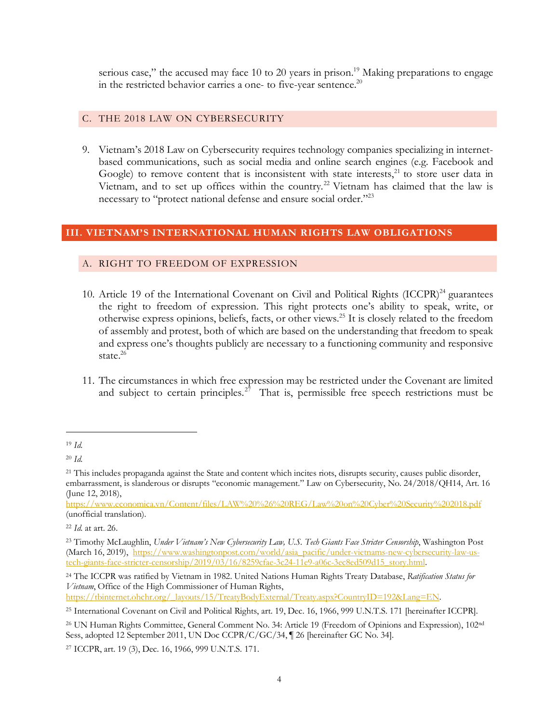serious case," the accused may face 10 to 20 years in prison.<sup>19</sup> Making preparations to engage in the restricted behavior carries a one- to five-year sentence. $^{20}$ 

## C. THE 2018 LAW ON CYBERSECURITY

9. Vietnam's 2018 Law on Cybersecurity requires technology companies specializing in internetbased communications, such as social media and online search engines (e.g. Facebook and Google) to remove content that is inconsistent with state interests, $21$  to store user data in Vietnam, and to set up offices within the country.<sup>22</sup> Vietnam has claimed that the law is necessary to "protect national defense and ensure social order."23

## **III. VIETNAM'S INTERNATIONAL HUMAN RIGHTS LAW OBLIGATIONS**

## A. RIGHT TO FREEDOM OF EXPRESSION

- 10. Article 19 of the International Covenant on Civil and Political Rights (ICCPR)<sup>24</sup> guarantees the right to freedom of expression. This right protects one's ability to speak, write, or otherwise express opinions, beliefs, facts, or other views.25 It is closely related to the freedom of assembly and protest, both of which are based on the understanding that freedom to speak and express one's thoughts publicly are necessary to a functioning community and responsive state. $26$
- 11. The circumstances in which free expression may be restricted under the Covenant are limited and subject to certain principles.<sup>27</sup> That is, permissible free speech restrictions must be

 $\overline{a}$ 

https://www.economica.vn/Content/files/LAW%20%26%20REG/Law%20on%20Cyber%20Security%202018.pdf (unofficial translation).

<sup>24</sup> The ICCPR was ratified by Vietnam in 1982. United Nations Human Rights Treaty Database, *Ratification Status for Vietnam*, Office of the High Commissioner of Human Rights,

https://tbinternet.ohchr.org/\_layouts/15/TreatyBodyExternal/Treaty.aspx?CountryID=192&Lang=EN.

<sup>25</sup> International Covenant on Civil and Political Rights, art. 19, Dec. 16, 1966, 999 U.N.T.S. 171 [hereinafter ICCPR].

<sup>19</sup> *Id.*

<sup>20</sup> *Id.*

<sup>&</sup>lt;sup>21</sup> This includes propaganda against the State and content which incites riots, disrupts security, causes public disorder, embarrassment, is slanderous or disrupts "economic management." Law on Cybersecurity, No. 24/2018/QH14, Art. 16 (June 12, 2018),

<sup>22</sup> *Id.* at art. 26.

<sup>23</sup> Timothy McLaughlin, *Under Vietnam's New Cybersecurity Law, U.S. Tech Giants Face Stricter Censorship*, Washington Post (March 16, 2019), https://www.washingtonpost.com/world/asia\_pacific/under-vietnams-new-cybersecurity-law-ustech-giants-face-stricter-censorship/2019/03/16/8259cfae-3c24-11e9-a06c-3ec8ed509d15\_story.html.

<sup>&</sup>lt;sup>26</sup> UN Human Rights Committee, General Comment No. 34: Article 19 (Freedom of Opinions and Expression), 102<sup>nd</sup> Sess, adopted 12 September 2011, UN Doc CCPR/C/GC/34, ¶ 26 [hereinafter GC No. 34].

<sup>27</sup> ICCPR, art. 19 (3), Dec. 16, 1966, 999 U.N.T.S. 171.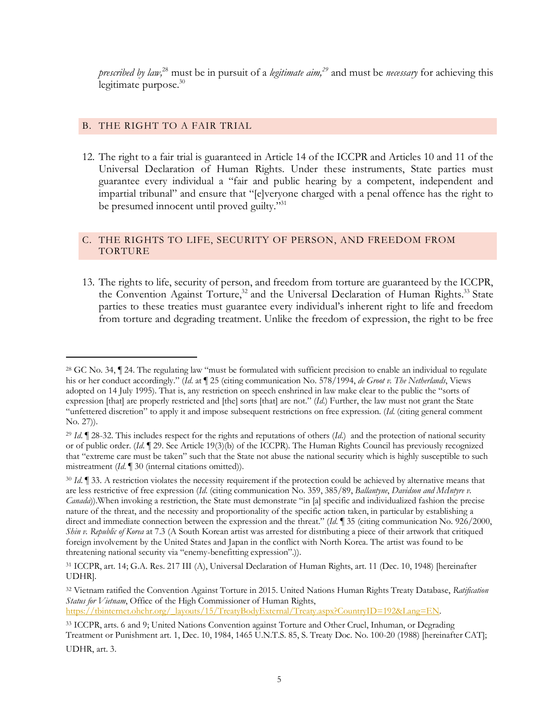*prescribed by law,*<sup>28</sup> must be in pursuit of a *legitimate aim,29* and must be *necessary* for achieving this legitimate purpose.<sup>30</sup>

## B. THE RIGHT TO A FAIR TRIAL

 $\overline{a}$ 

12. The right to a fair trial is guaranteed in Article 14 of the ICCPR and Articles 10 and 11 of the Universal Declaration of Human Rights. Under these instruments, State parties must guarantee every individual a "fair and public hearing by a competent, independent and impartial tribunal" and ensure that "[e]veryone charged with a penal offence has the right to be presumed innocent until proved guilty."<sup>31</sup>

## C. THE RIGHTS TO LIFE, SECURITY OF PERSON, AND FREEDOM FROM TORTURE

13. The rights to life, security of person, and freedom from torture are guaranteed by the ICCPR, the Convention Against Torture,<sup>32</sup> and the Universal Declaration of Human Rights.<sup>33</sup> State parties to these treaties must guarantee every individual's inherent right to life and freedom from torture and degrading treatment. Unlike the freedom of expression, the right to be free

<sup>32</sup> Vietnam ratified the Convention Against Torture in 2015. United Nations Human Rights Treaty Database, *Ratification Status for Vietnam*, Office of the High Commissioner of Human Rights, https://tbinternet.ohchr.org/\_layouts/15/TreatyBodyExternal/Treaty.aspx?CountryID=192&Lang=EN.

<sup>&</sup>lt;sup>28</sup> GC No. 34,  $\P$  24. The regulating law "must be formulated with sufficient precision to enable an individual to regulate his or her conduct accordingly." (*Id*. at ¶ 25 (citing communication No. 578/1994, *de Groot v. The Netherlands*, Views adopted on 14 July 1995). That is, any restriction on speech enshrined in law make clear to the public the "sorts of expression [that] are properly restricted and [the] sorts [that] are not." (*Id*.) Further, the law must not grant the State "unfettered discretion" to apply it and impose subsequent restrictions on free expression. (*Id*. (citing general comment No. 27)).

<sup>29</sup> *Id*. ¶ 28-32. This includes respect for the rights and reputations of others (*Id*.) and the protection of national security or of public order. (*Id*. ¶ 29. See Article 19(3)(b) of the ICCPR). The Human Rights Council has previously recognized that "extreme care must be taken" such that the State not abuse the national security which is highly susceptible to such mistreatment (*Id*. ¶ 30 (internal citations omitted)).

<sup>&</sup>lt;sup>30</sup> *Id*. **[33.** A restriction violates the necessity requirement if the protection could be achieved by alternative means that are less restrictive of free expression (*Id*. (citing communication No. 359, 385/89, *Ballantyne*, *Davidson and McIntyre v. Canada*)).When invoking a restriction, the State must demonstrate "in [a] specific and individualized fashion the precise nature of the threat, and the necessity and proportionality of the specific action taken, in particular by establishing a direct and immediate connection between the expression and the threat." (*Id*. ¶ 35 (citing communication No. 926/2000, *Shin v. Republic of Korea* at 7.3 (A South Korean artist was arrested for distributing a piece of their artwork that critiqued foreign involvement by the United States and Japan in the conflict with North Korea. The artist was found to be threatening national security via "enemy-benefitting expression".)).

<sup>31</sup> ICCPR, art. 14; G.A. Res. 217 III (A), Universal Declaration of Human Rights, art. 11 (Dec. 10, 1948) [hereinafter UDHR].

<sup>33</sup> ICCPR, arts. 6 and 9; United Nations Convention against Torture and Other Cruel, Inhuman, or Degrading Treatment or Punishment art. 1, Dec. 10, 1984, 1465 U.N.T.S. 85, S. Treaty Doc. No. 100-20 (1988) [hereinafter CAT]; UDHR, art. 3.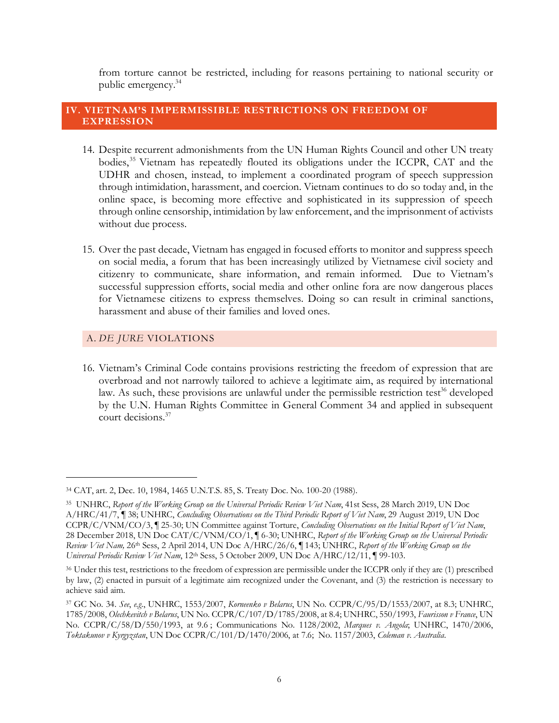from torture cannot be restricted, including for reasons pertaining to national security or public emergency.34

## **IV. VIETNAM'S IMPERMISSIBLE RESTRICTIONS ON FREEDOM OF EXPRESSION**

- 14. Despite recurrent admonishments from the UN Human Rights Council and other UN treaty bodies,<sup>35</sup> Vietnam has repeatedly flouted its obligations under the ICCPR, CAT and the UDHR and chosen, instead, to implement a coordinated program of speech suppression through intimidation, harassment, and coercion. Vietnam continues to do so today and, in the online space, is becoming more effective and sophisticated in its suppression of speech through online censorship, intimidation by law enforcement, and the imprisonment of activists without due process.
- 15. Over the past decade, Vietnam has engaged in focused efforts to monitor and suppress speech on social media, a forum that has been increasingly utilized by Vietnamese civil society and citizenry to communicate, share information, and remain informed. Due to Vietnam's successful suppression efforts, social media and other online fora are now dangerous places for Vietnamese citizens to express themselves. Doing so can result in criminal sanctions, harassment and abuse of their families and loved ones.

## A. *DE JURE* VIOLATIONS

 $\overline{a}$ 

16. Vietnam's Criminal Code contains provisions restricting the freedom of expression that are overbroad and not narrowly tailored to achieve a legitimate aim, as required by international law. As such, these provisions are unlawful under the permissible restriction test<sup>36</sup> developed by the U.N. Human Rights Committee in General Comment 34 and applied in subsequent court decisions. 37

<sup>34</sup> CAT, art. 2, Dec. 10, 1984, 1465 U.N.T.S. 85, S. Treaty Doc. No. 100-20 (1988).

<sup>35</sup> UNHRC, *Report of the Working Group on the Universal Periodic Review Viet Nam*, 41st Sess, 28 March 2019, UN Doc A/HRC/41/7, ¶ 38; UNHRC, *Concluding Observations on the Third Periodic Report of Viet Nam*, 29 August 2019, UN Doc CCPR/C/VNM/CO/3, ¶ 25-30; UN Committee against Torture, *Concluding Observations on the Initial Report of Viet Nam*, 28 December 2018, UN Doc CAT/C/VNM/CO/1, ¶ 6-30; UNHRC, *Report of the Working Group on the Universal Periodic Review Viet Nam,* 26th Sess, 2 April 2014, UN Doc A/HRC/26/6, ¶ 143; UNHRC, *Report of the Working Group on the Universal Periodic Review Viet Nam*, 12th Sess, 5 October 2009, UN Doc A/HRC/12/11, ¶ 99-103.

<sup>36</sup> Under this test, restrictions to the freedom of expression are permissible under the ICCPR only if they are (1) prescribed by law, (2) enacted in pursuit of a legitimate aim recognized under the Covenant, and (3) the restriction is necessary to achieve said aim.

<sup>37</sup> GC No. 34. *See*, *e.g*., UNHRC, 1553/2007, *Korneenko v Belarus*, UN No. CCPR/C/95/D/1553/2007, at 8.3; UNHRC, 1785/2008, *Olechkevitch v Belarus*, UN No. CCPR/C/107/D/1785/2008, at 8.4; UNHRC, 550/1993, *Faurisson v France*, UN No. CCPR/C/58/D/550/1993, at 9.6 ; Communications No. 1128/2002, *Marques v. Angola*; UNHRC, 1470/2006, *Toktakunov v Kyrgyzstan*, UN Doc CCPR/C/101/D/1470/2006, at 7.6; No. 1157/2003, *Coleman v. Australia*.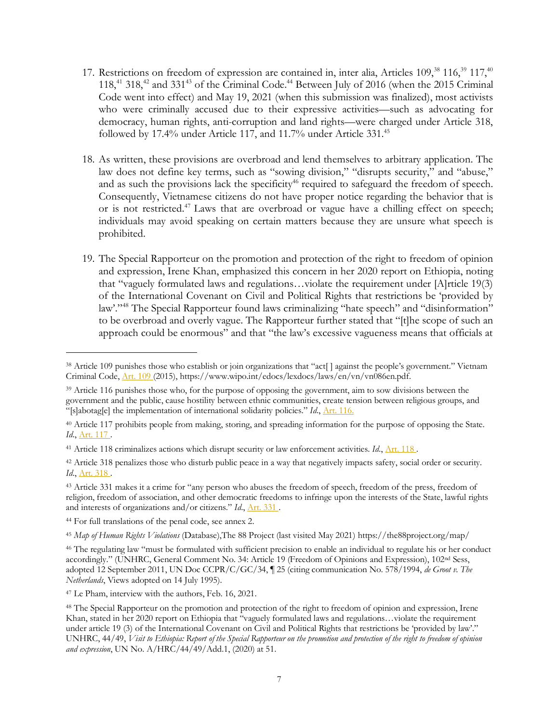- 17. Restrictions on freedom of expression are contained in, inter alia, Articles 109,<sup>38</sup> 116,<sup>39</sup> 117,<sup>40</sup> 118,<sup>41</sup> 318,<sup>42</sup> and 331<sup>43</sup> of the Criminal Code.<sup>44</sup> Between July of 2016 (when the 2015 Criminal Code went into effect) and May 19, 2021 (when this submission was finalized), most activists who were criminally accused due to their expressive activities—such as advocating for democracy, human rights, anti-corruption and land rights—were charged under Article 318, followed by 17.4% under Article 117, and 11.7% under Article 331.<sup>45</sup>
- 18. As written, these provisions are overbroad and lend themselves to arbitrary application. The law does not define key terms, such as "sowing division," "disrupts security," and "abuse," and as such the provisions lack the specificity<sup>46</sup> required to safeguard the freedom of speech. Consequently, Vietnamese citizens do not have proper notice regarding the behavior that is or is not restricted.<sup>47</sup> Laws that are overbroad or vague have a chilling effect on speech; individuals may avoid speaking on certain matters because they are unsure what speech is prohibited.
- 19. The Special Rapporteur on the promotion and protection of the right to freedom of opinion and expression, Irene Khan, emphasized this concern in her 2020 report on Ethiopia, noting that "vaguely formulated laws and regulations…violate the requirement under [A]rticle 19(3) of the International Covenant on Civil and Political Rights that restrictions be 'provided by law'."<sup>48</sup> The Special Rapporteur found laws criminalizing "hate speech" and "disinformation" to be overbroad and overly vague. The Rapporteur further stated that "[t]he scope of such an approach could be enormous" and that "the law's excessive vagueness means that officials at

<sup>38</sup> Article 109 punishes those who establish or join organizations that "act[ ] against the people's government." Vietnam Criminal Code, Art. 109 (2015), https://www.wipo.int/edocs/lexdocs/laws/en/vn/vn086en.pdf.

<sup>&</sup>lt;sup>39</sup> Article 116 punishes those who, for the purpose of opposing the government, aim to sow divisions between the government and the public, cause hostility between ethnic communities, create tension between religious groups, and "[s]abotag[e] the implementation of international solidarity policies." *Id*., Art. 116.

<sup>40</sup> Article 117 prohibits people from making, storing, and spreading information for the purpose of opposing the State. *Id.*, <u>Art.</u> 117.

<sup>41</sup> Article 118 criminalizes actions which disrupt security or law enforcement activities. *Id*., Art. 118 .

<sup>&</sup>lt;sup>42</sup> Article 318 penalizes those who disturb public peace in a way that negatively impacts safety, social order or security. *Id*., Art. 318 .

<sup>&</sup>lt;sup>43</sup> Article 331 makes it a crime for "any person who abuses the freedom of speech, freedom of the press, freedom of religion, freedom of association, and other democratic freedoms to infringe upon the interests of the State, lawful rights and interests of organizations and/or citizens." *Id*., Art. 331 .

<sup>44</sup> For full translations of the penal code, see annex 2.

<sup>45</sup> *Map of Human Rights Violations* (Database),The 88 Project (last visited May 2021) https://the88project.org/map/

<sup>46</sup> The regulating law "must be formulated with sufficient precision to enable an individual to regulate his or her conduct accordingly." (UNHRC, General Comment No. 34: Article 19 (Freedom of Opinions and Expression), 102nd Sess, adopted 12 September 2011, UN Doc CCPR/C/GC/34, ¶ 25 (citing communication No. 578/1994, *de Groot v. The Netherlands*, Views adopted on 14 July 1995).

<sup>47</sup> Le Pham, interview with the authors, Feb. 16, 2021.

<sup>48</sup> The Special Rapporteur on the promotion and protection of the right to freedom of opinion and expression, Irene Khan, stated in her 2020 report on Ethiopia that "vaguely formulated laws and regulations…violate the requirement under article 19 (3) of the International Covenant on Civil and Political Rights that restrictions be 'provided by law'." UNHRC, 44/49, *Visit to Ethiopia: Report of the Special Rapporteur on the promotion and protection of the right to freedom of opinion and expression*, UN No. A/HRC/44/49/Add.1, (2020) at 51.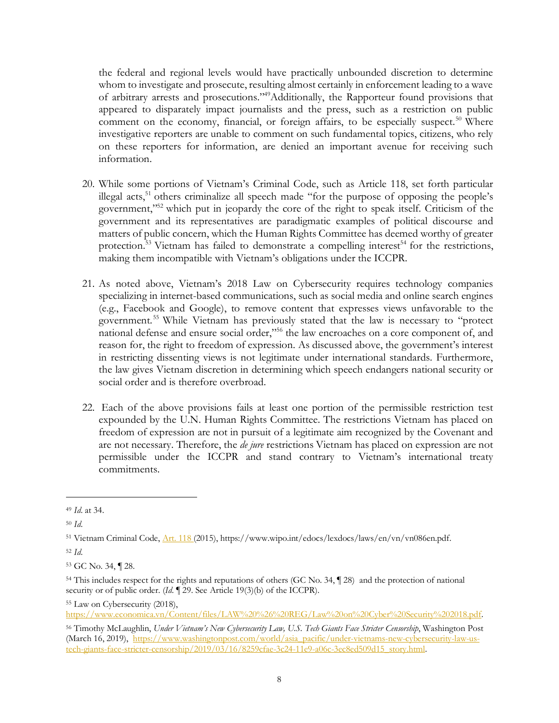the federal and regional levels would have practically unbounded discretion to determine whom to investigate and prosecute, resulting almost certainly in enforcement leading to a wave of arbitrary arrests and prosecutions."49Additionally, the Rapporteur found provisions that appeared to disparately impact journalists and the press, such as a restriction on public comment on the economy, financial, or foreign affairs, to be especially suspect.<sup>50</sup> Where investigative reporters are unable to comment on such fundamental topics, citizens, who rely on these reporters for information, are denied an important avenue for receiving such information.

- 20. While some portions of Vietnam's Criminal Code, such as Article 118, set forth particular illegal acts, $51$  others criminalize all speech made "for the purpose of opposing the people's government,"52 which put in jeopardy the core of the right to speak itself. Criticism of the government and its representatives are paradigmatic examples of political discourse and matters of public concern, which the Human Rights Committee has deemed worthy of greater protection.<sup>53</sup> Vietnam has failed to demonstrate a compelling interest<sup>54</sup> for the restrictions, making them incompatible with Vietnam's obligations under the ICCPR.
- 21. As noted above, Vietnam's 2018 Law on Cybersecurity requires technology companies specializing in internet-based communications, such as social media and online search engines (e.g., Facebook and Google), to remove content that expresses views unfavorable to the government.55 While Vietnam has previously stated that the law is necessary to "protect national defense and ensure social order,"56 the law encroaches on a core component of, and reason for, the right to freedom of expression. As discussed above, the government's interest in restricting dissenting views is not legitimate under international standards. Furthermore, the law gives Vietnam discretion in determining which speech endangers national security or social order and is therefore overbroad.
- 22. Each of the above provisions fails at least one portion of the permissible restriction test expounded by the U.N. Human Rights Committee. The restrictions Vietnam has placed on freedom of expression are not in pursuit of a legitimate aim recognized by the Covenant and are not necessary. Therefore, the *de jure* restrictions Vietnam has placed on expression are not permissible under the ICCPR and stand contrary to Vietnam's international treaty commitments.

 $\overline{a}$ 

<sup>52</sup> *Id*.

<sup>55</sup> Law on Cybersecurity (2018),

https://www.economica.vn/Content/files/LAW%20%26%20REG/Law%20on%20Cyber%20Security%202018.pdf.

<sup>49</sup> *Id*. at 34.

<sup>50</sup> *Id*.

<sup>51</sup> Vietnam Criminal Code, Art. 118 (2015), https://www.wipo.int/edocs/lexdocs/laws/en/vn/vn086en.pdf.

<sup>53</sup> GC No. 34, ¶ 28.

<sup>54</sup> This includes respect for the rights and reputations of others (GC No. 34, ¶ 28) and the protection of national security or of public order. (*Id.* ¶ 29. See Article 19(3)(b) of the ICCPR).

<sup>56</sup> Timothy McLaughlin, *Under Vietnam's New Cybersecurity Law, U.S. Tech Giants Face Stricter Censorship*, Washington Post (March 16, 2019), https://www.washingtonpost.com/world/asia\_pacific/under-vietnams-new-cybersecurity-law-ustech-giants-face-stricter-censorship/2019/03/16/8259cfae-3c24-11e9-a06c-3ec8ed509d15\_story.html.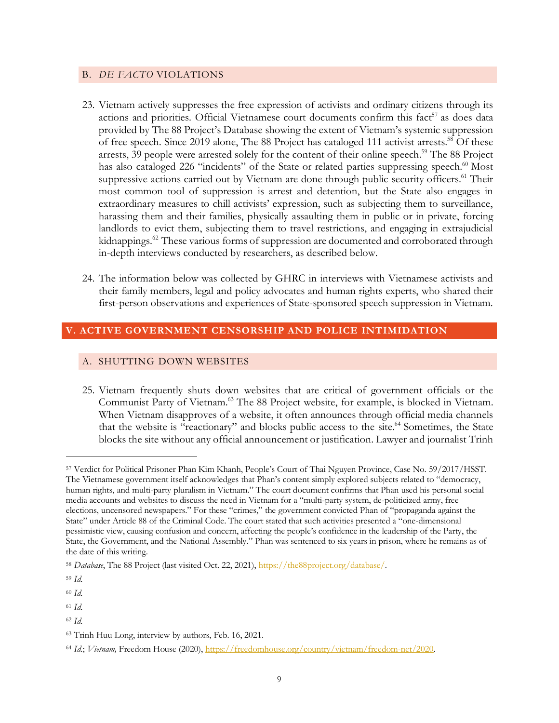### B. *DE FACTO* VIOLATIONS

- 23. Vietnam actively suppresses the free expression of activists and ordinary citizens through its actions and priorities. Official Vietnamese court documents confirm this fact<sup>57</sup> as does data provided by The 88 Project's Database showing the extent of Vietnam's systemic suppression of free speech. Since 2019 alone, The 88 Project has cataloged 111 activist arrests.<sup>58</sup> Of these arrests, 39 people were arrested solely for the content of their online speech.<sup>59</sup> The 88 Project has also cataloged 226 "incidents" of the State or related parties suppressing speech.<sup>60</sup> Most suppressive actions carried out by Vietnam are done through public security officers.<sup>61</sup> Their most common tool of suppression is arrest and detention, but the State also engages in extraordinary measures to chill activists' expression, such as subjecting them to surveillance, harassing them and their families, physically assaulting them in public or in private, forcing landlords to evict them, subjecting them to travel restrictions, and engaging in extrajudicial kidnappings.<sup>62</sup> These various forms of suppression are documented and corroborated through in-depth interviews conducted by researchers, as described below.
- 24. The information below was collected by GHRC in interviews with Vietnamese activists and their family members, legal and policy advocates and human rights experts, who shared their first-person observations and experiences of State-sponsored speech suppression in Vietnam.

## **V. ACTIVE GOVERNMENT CENSORSHIP AND POLICE INTIMIDATION**

## A. SHUTTING DOWN WEBSITES

25. Vietnam frequently shuts down websites that are critical of government officials or the Communist Party of Vietnam.<sup>63</sup> The 88 Project website, for example, is blocked in Vietnam. When Vietnam disapproves of a website, it often announces through official media channels that the website is "reactionary" and blocks public access to the site.<sup>64</sup> Sometimes, the State blocks the site without any official announcement or justification. Lawyer and journalist Trinh

<sup>59</sup> *Id.* 

 $\overline{a}$ 

<sup>60</sup> *Id.* 

<sup>61</sup> *Id.* 

<sup>57</sup> Verdict for Political Prisoner Phan Kim Khanh, People's Court of Thai Nguyen Province, Case No. 59/2017/HSST. The Vietnamese government itself acknowledges that Phan's content simply explored subjects related to "democracy, human rights, and multi-party pluralism in Vietnam." The court document confirms that Phan used his personal social media accounts and websites to discuss the need in Vietnam for a "multi-party system, de-politicized army, free elections, uncensored newspapers." For these "crimes," the government convicted Phan of "propaganda against the State" under Article 88 of the Criminal Code. The court stated that such activities presented a "one-dimensional pessimistic view, causing confusion and concern, affecting the people's confidence in the leadership of the Party, the State, the Government, and the National Assembly." Phan was sentenced to six years in prison, where he remains as of the date of this writing.

<sup>58</sup> *Database*, The 88 Project (last visited Oct. 22, 2021), https://the88project.org/database/.

<sup>62</sup> *Id.* 

<sup>63</sup> Trinh Huu Long, interview by authors, Feb. 16, 2021.

<sup>64</sup> *Id.*; *Vietnam,* Freedom House (2020), https://freedomhouse.org/country/vietnam/freedom-net/2020.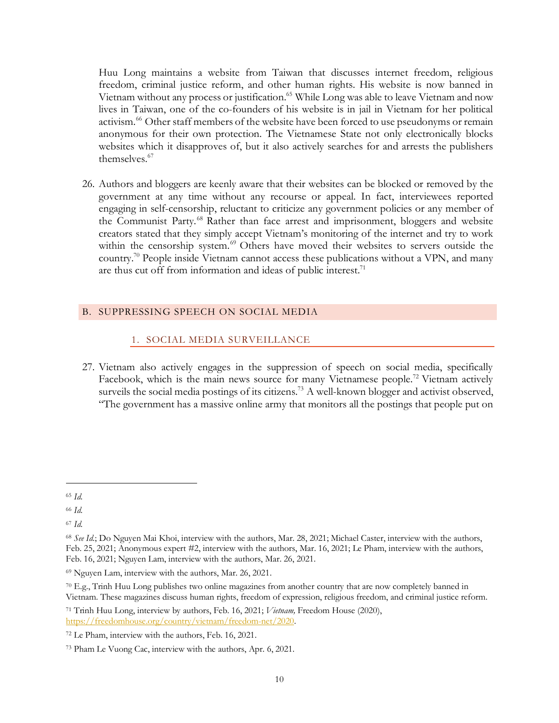Huu Long maintains a website from Taiwan that discusses internet freedom, religious freedom, criminal justice reform, and other human rights. His website is now banned in Vietnam without any process or justification. <sup>65</sup> While Long was able to leave Vietnam and now lives in Taiwan, one of the co-founders of his website is in jail in Vietnam for her political activism.<sup>66</sup> Other staff members of the website have been forced to use pseudonyms or remain anonymous for their own protection. The Vietnamese State not only electronically blocks websites which it disapproves of, but it also actively searches for and arrests the publishers themselves.<sup>67</sup>

26. Authors and bloggers are keenly aware that their websites can be blocked or removed by the government at any time without any recourse or appeal. In fact, interviewees reported engaging in self-censorship, reluctant to criticize any government policies or any member of the Communist Party.<sup>68</sup> Rather than face arrest and imprisonment, bloggers and website creators stated that they simply accept Vietnam's monitoring of the internet and try to work within the censorship system.<sup>69</sup> Others have moved their websites to servers outside the country.<sup>70</sup> People inside Vietnam cannot access these publications without a VPN, and many are thus cut off from information and ideas of public interest. $71$ 

## B. SUPPRESSING SPEECH ON SOCIAL MEDIA

# 1. SOCIAL MEDIA SURVEILLANCE

27. Vietnam also actively engages in the suppression of speech on social media, specifically Facebook, which is the main news source for many Vietnamese people.<sup>72</sup> Vietnam actively surveils the social media postings of its citizens.<sup>73</sup> A well-known blogger and activist observed, "The government has a massive online army that monitors all the postings that people put on

<sup>65</sup> *Id.*

<sup>66</sup> *Id.*

<sup>67</sup> *Id.*

<sup>68</sup> *See Id.*; Do Nguyen Mai Khoi, interview with the authors, Mar. 28, 2021; Michael Caster, interview with the authors, Feb. 25, 2021; Anonymous expert #2, interview with the authors, Mar. 16, 2021; Le Pham, interview with the authors, Feb. 16, 2021; Nguyen Lam, interview with the authors, Mar. 26, 2021.

<sup>69</sup> Nguyen Lam, interview with the authors, Mar. 26, 2021.

<sup>70</sup> E.g., Trinh Huu Long publishes two online magazines from another country that are now completely banned in Vietnam. These magazines discuss human rights, freedom of expression, religious freedom, and criminal justice reform.

<sup>71</sup> Trinh Huu Long, interview by authors, Feb. 16, 2021; *Vietnam,* Freedom House (2020), https://freedomhouse.org/country/vietnam/freedom-net/2020.

<sup>72</sup> Le Pham, interview with the authors, Feb. 16, 2021.

<sup>73</sup> Pham Le Vuong Cac, interview with the authors, Apr. 6, 2021.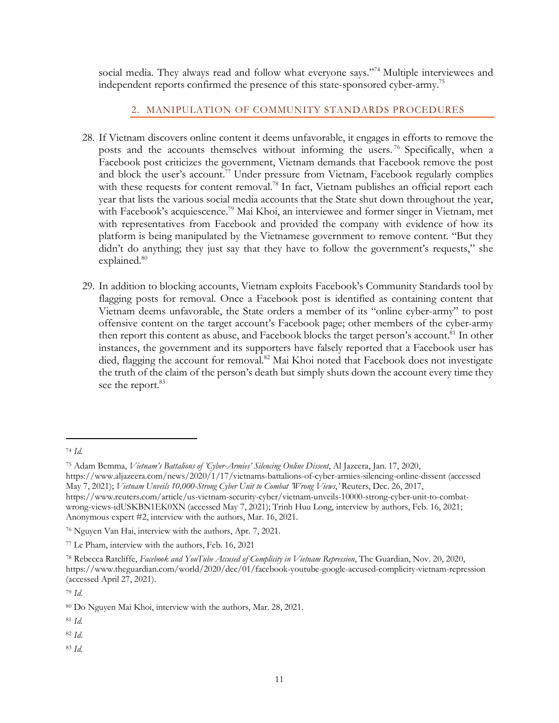social media. They always read and follow what everyone says."74 Multiple interviewees and independent reports confirmed the presence of this state-sponsored cyber-army.<sup>75</sup>

# 2. MANIPULATION OF COMMUNITY STANDARDS PROCEDURES

- 28. If Vietnam discovers online content it deems unfavorable, it engages in efforts to remove the posts and the accounts themselves without informing the users.<sup>76</sup> Specifically, when a Facebook post criticizes the government, Vietnam demands that Facebook remove the post and block the user's account.<sup>77</sup> Under pressure from Vietnam, Facebook regularly complies with these requests for content removal.<sup>78</sup> In fact, Vietnam publishes an official report each year that lists the various social media accounts that the State shut down throughout the year, with Facebook's acquiescence.<sup>79</sup> Mai Khoi, an interviewee and former singer in Vietnam, met with representatives from Facebook and provided the company with evidence of how its platform is being manipulated by the Vietnamese government to remove content. "But they didn't do anything; they just say that they have to follow the government's requests," she explained.<sup>80</sup>
- 29. In addition to blocking accounts, Vietnam exploits Facebook's Community Standards tool by flagging posts for removal. Once a Facebook post is identified as containing content that Vietnam deems unfavorable, the State orders a member of its "online cyber-army" to post offensive content on the target account's Facebook page; other members of the cyber-army then report this content as abuse, and Facebook blocks the target person's account.<sup>81</sup> In other instances, the government and its supporters have falsely reported that a Facebook user has died, flagging the account for removal.<sup>82</sup> Mai Khoi noted that Facebook does not investigate the truth of the claim of the person's death but simply shuts down the account every time they see the report.<sup>83</sup>

 $\overline{a}$ 

<sup>83</sup> *Id.* 

<sup>74</sup> *Id.*

<sup>75</sup> Adam Bemma, *Vietnam's Battalions of 'Cyber-Armies' Silencing Online Dissent*, Al Jazeera, Jan. 17, 2020, https://www.aljazeera.com/news/2020/1/17/vietnams-battalions-of-cyber-armies-silencing-online-dissent (accessed May 7, 2021); *Vietnam Unveils 10,000-Strong Cyber Unit to Combat 'Wrong Views*,*'* Reuters, Dec. 26, 2017, https://www.reuters.com/article/us-vietnam-security-cyber/vietnam-unveils-10000-strong-cyber-unit-to-combatwrong-views-idUSKBN1EK0XN (accessed May 7, 2021); Trinh Huu Long, interview by authors, Feb. 16, 2021; Anonymous expert #2, interview with the authors, Mar. 16, 2021.

<sup>76</sup> Nguyen Van Hai, interview with the authors, Apr. 7, 2021.

<sup>77</sup> Le Pham, interview with the authors, Feb. 16, 2021

<sup>78</sup> Rebecca Ratcliffe, *Facebook and YouTube Accused of Complicity in Vietnam Repression*, The Guardian, Nov. 20, 2020, https://www.theguardian.com/world/2020/dec/01/facebook-youtube-google-accused-complicity-vietnam-repression (accessed April 27, 2021).

<sup>79</sup> *Id*.

<sup>80</sup> Do Nguyen Mai Khoi, interview with the authors, Mar. 28, 2021.

<sup>81</sup> *Id.*

<sup>82</sup> *Id*.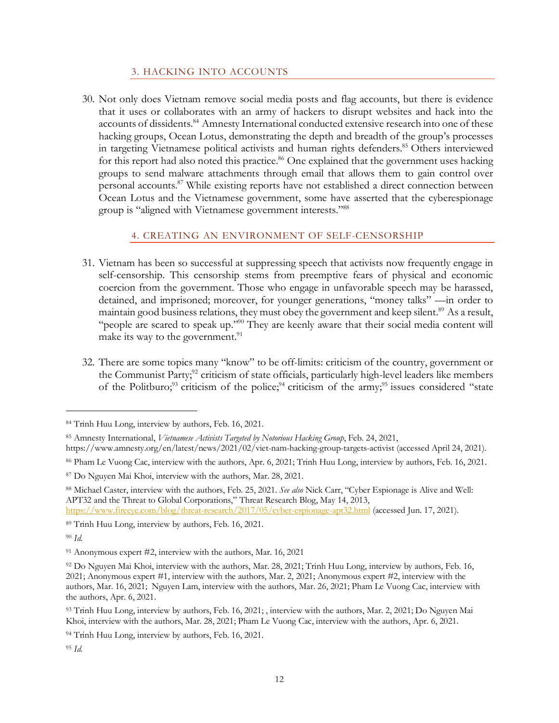## 3. HACKING INTO ACCOUNTS

30. Not only does Vietnam remove social media posts and flag accounts, but there is evidence that it uses or collaborates with an army of hackers to disrupt websites and hack into the accounts of dissidents.<sup>84</sup> Amnesty International conducted extensive research into one of these hacking groups, Ocean Lotus, demonstrating the depth and breadth of the group's processes in targeting Vietnamese political activists and human rights defenders.<sup>85</sup> Others interviewed for this report had also noted this practice.<sup>86</sup> One explained that the government uses hacking groups to send malware attachments through email that allows them to gain control over personal accounts.87 While existing reports have not established a direct connection between Ocean Lotus and the Vietnamese government, some have asserted that the cyberespionage group is "aligned with Vietnamese government interests."88

## 4. CREATING AN ENVIRONMENT OF SELF-CENSORSHIP

- 31. Vietnam has been so successful at suppressing speech that activists now frequently engage in self-censorship. This censorship stems from preemptive fears of physical and economic coercion from the government. Those who engage in unfavorable speech may be harassed, detained, and imprisoned; moreover, for younger generations, "money talks" —in order to maintain good business relations, they must obey the government and keep silent.<sup>89</sup> As a result, "people are scared to speak up."<sup>90</sup> They are keenly aware that their social media content will make its way to the government. $^{91}$
- 32. There are some topics many "know" to be off-limits: criticism of the country, government or the Communist Party;<sup>92</sup> criticism of state officials, particularly high-level leaders like members of the Politburo;<sup>93</sup> criticism of the police;<sup>94</sup> criticism of the army;<sup>95</sup> issues considered "state"

<sup>84</sup> Trinh Huu Long, interview by authors, Feb. 16, 2021.

<sup>85</sup> Amnesty International, *Vietnamese Activists Targeted by Notorious Hacking Group*, Feb. 24, 2021,

https://www.amnesty.org/en/latest/news/2021/02/viet-nam-hacking-group-targets-activist (accessed April 24, 2021).

<sup>86</sup> Pham Le Vuong Cac, interview with the authors, Apr. 6, 2021; Trinh Huu Long, interview by authors, Feb. 16, 2021.

<sup>87</sup> Do Nguyen Mai Khoi, interview with the authors, Mar. 28, 2021.

<sup>88</sup> Michael Caster, interview with the authors, Feb. 25, 2021. *See also* Nick Carr, "Cyber Espionage is Alive and Well: APT32 and the Threat to Global Corporations," Threat Research Blog, May 14, 2013,

https://www.fireeye.com/blog/threat-research/2017/05/cyber-espionage-apt32.html (accessed Jun. 17, 2021).

<sup>89</sup> Trinh Huu Long, interview by authors, Feb. 16, 2021.

<sup>90</sup> *Id.*

<sup>91</sup> Anonymous expert #2, interview with the authors, Mar. 16, 2021

<sup>92</sup> Do Nguyen Mai Khoi, interview with the authors, Mar. 28, 2021; Trinh Huu Long, interview by authors, Feb. 16, 2021; Anonymous expert #1, interview with the authors, Mar. 2, 2021; Anonymous expert #2, interview with the authors, Mar. 16, 2021; Nguyen Lam, interview with the authors, Mar. 26, 2021; Pham Le Vuong Cac, interview with the authors, Apr. 6, 2021.

<sup>93</sup> Trinh Huu Long, interview by authors, Feb. 16, 2021; , interview with the authors, Mar. 2, 2021; Do Nguyen Mai Khoi, interview with the authors, Mar. 28, 2021; Pham Le Vuong Cac, interview with the authors, Apr. 6, 2021.

<sup>94</sup> Trinh Huu Long, interview by authors, Feb. 16, 2021.

<sup>95</sup> *Id.*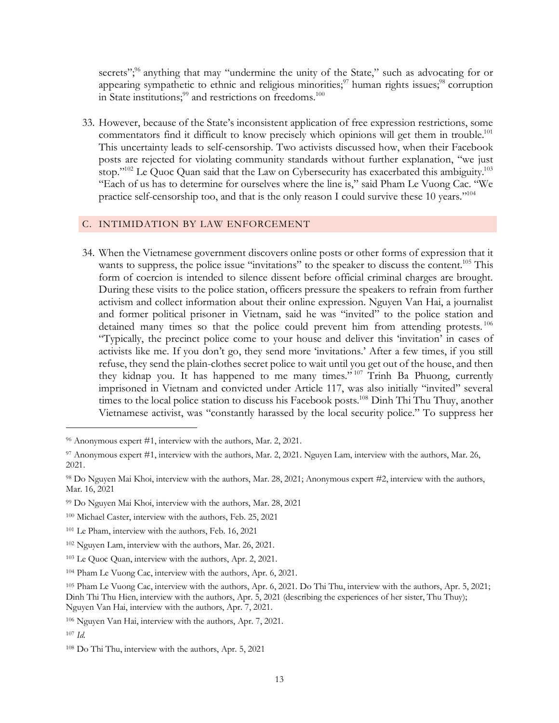secrets";<sup>96</sup> anything that may "undermine the unity of the State," such as advocating for or appearing sympathetic to ethnic and religious minorities; $\frac{97}{7}$  human rights issues; $\frac{98}{7}$  corruption in State institutions;<sup>99</sup> and restrictions on freedoms.<sup>100</sup>

33. However, because of the State's inconsistent application of free expression restrictions, some commentators find it difficult to know precisely which opinions will get them in trouble.<sup>101</sup> This uncertainty leads to self-censorship. Two activists discussed how, when their Facebook posts are rejected for violating community standards without further explanation, "we just stop."<sup>102</sup> Le Quoc Quan said that the Law on Cybersecurity has exacerbated this ambiguity.<sup>103</sup> "Each of us has to determine for ourselves where the line is," said Pham Le Vuong Cac. "We practice self-censorship too, and that is the only reason I could survive these 10 years."104

### C. INTIMIDATION BY LAW ENFORCEMENT

34. When the Vietnamese government discovers online posts or other forms of expression that it wants to suppress, the police issue "invitations" to the speaker to discuss the content.<sup>105</sup> This form of coercion is intended to silence dissent before official criminal charges are brought. During these visits to the police station, officers pressure the speakers to refrain from further activism and collect information about their online expression. Nguyen Van Hai, a journalist and former political prisoner in Vietnam, said he was "invited" to the police station and detained many times so that the police could prevent him from attending protests.<sup>106</sup> "Typically, the precinct police come to your house and deliver this 'invitation' in cases of activists like me. If you don't go, they send more 'invitations.' After a few times, if you still refuse, they send the plain-clothes secret police to wait until you get out of the house, and then they kidnap you. It has happened to me many times." <sup>107</sup> Trinh Ba Phuong, currently imprisoned in Vietnam and convicted under Article 117, was also initially "invited" several times to the local police station to discuss his Facebook posts.<sup>108</sup> Dinh Thi Thu Thuy, another Vietnamese activist, was "constantly harassed by the local security police." To suppress her

<sup>96</sup> Anonymous expert #1, interview with the authors, Mar. 2, 2021.

<sup>97</sup> Anonymous expert #1, interview with the authors, Mar. 2, 2021. Nguyen Lam, interview with the authors, Mar. 26, 2021.

<sup>98</sup> Do Nguyen Mai Khoi, interview with the authors, Mar. 28, 2021; Anonymous expert #2, interview with the authors, Mar. 16, 2021

<sup>99</sup> Do Nguyen Mai Khoi, interview with the authors, Mar. 28, 2021

<sup>100</sup> Michael Caster, interview with the authors, Feb. 25, 2021

<sup>101</sup> Le Pham, interview with the authors, Feb. 16, 2021

<sup>102</sup> Nguyen Lam, interview with the authors, Mar. 26, 2021.

<sup>103</sup> Le Quoc Quan, interview with the authors, Apr. 2, 2021.

<sup>104</sup> Pham Le Vuong Cac, interview with the authors, Apr. 6, 2021.

<sup>105</sup> Pham Le Vuong Cac, interview with the authors, Apr. 6, 2021. Do Thi Thu, interview with the authors, Apr. 5, 2021; Dinh Thi Thu Hien, interview with the authors, Apr. 5, 2021 (describing the experiences of her sister, Thu Thuy); Nguyen Van Hai, interview with the authors, Apr. 7, 2021.

<sup>106</sup> Nguyen Van Hai, interview with the authors, Apr. 7, 2021.

<sup>107</sup> *Id.*

<sup>108</sup> Do Thi Thu, interview with the authors, Apr. 5, 2021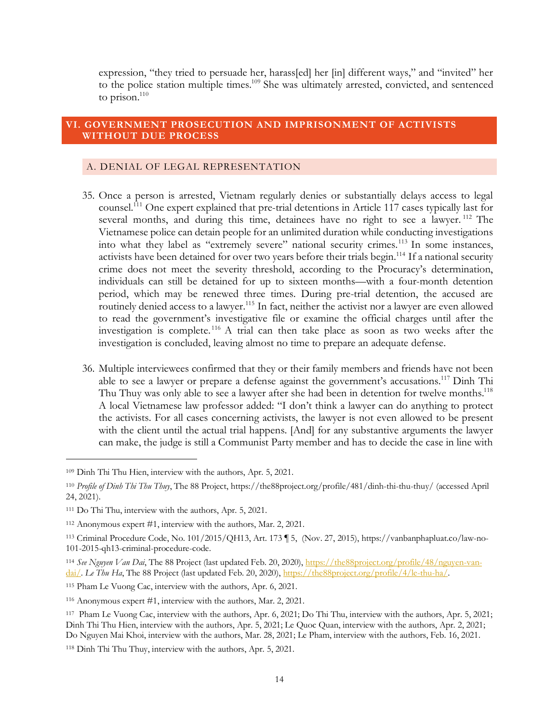expression, "they tried to persuade her, harass[ed] her [in] different ways," and "invited" her to the police station multiple times.<sup>109</sup> She was ultimately arrested, convicted, and sentenced to prison. $110$ 

### **VI. GOVERNMENT PROSECUTION AND IMPRISONMENT OF ACTIVISTS WITHOUT DUE PROCESS**

#### A. DENIAL OF LEGAL REPRESENTATION

- 35. Once a person is arrested, Vietnam regularly denies or substantially delays access to legal counsel.111 One expert explained that pre-trial detentions in Article 117 cases typically last for several months, and during this time, detainees have no right to see a lawyer.<sup>112</sup> The Vietnamese police can detain people for an unlimited duration while conducting investigations into what they label as "extremely severe" national security crimes.113 In some instances, activists have been detained for over two years before their trials begin.<sup>114</sup> If a national security crime does not meet the severity threshold, according to the Procuracy's determination, individuals can still be detained for up to sixteen months—with a four-month detention period, which may be renewed three times. During pre-trial detention, the accused are routinely denied access to a lawyer.<sup>115</sup> In fact, neither the activist nor a lawyer are even allowed to read the government's investigative file or examine the official charges until after the investigation is complete.<sup>116</sup> A trial can then take place as soon as two weeks after the investigation is concluded, leaving almost no time to prepare an adequate defense.
- 36. Multiple interviewees confirmed that they or their family members and friends have not been able to see a lawyer or prepare a defense against the government's accusations.<sup>117</sup> Dinh Thi Thu Thuy was only able to see a lawyer after she had been in detention for twelve months.<sup>118</sup> A local Vietnamese law professor added: "I don't think a lawyer can do anything to protect the activists. For all cases concerning activists, the lawyer is not even allowed to be present with the client until the actual trial happens. [And] for any substantive arguments the lawyer can make, the judge is still a Communist Party member and has to decide the case in line with

<sup>109</sup> Dinh Thi Thu Hien, interview with the authors, Apr. 5, 2021.

<sup>110</sup> *Profile of Dinh Thi Thu Thuy*, The 88 Project, https://the88project.org/profile/481/dinh-thi-thu-thuy/ (accessed April 24, 2021).

<sup>111</sup> Do Thi Thu, interview with the authors, Apr. 5, 2021.

<sup>112</sup> Anonymous expert #1, interview with the authors, Mar. 2, 2021.

<sup>113</sup> Criminal Procedure Code, No. 101/2015/QH13, Art. 173 ¶ 5, (Nov. 27, 2015), https://vanbanphapluat.co/law-no-101-2015-qh13-criminal-procedure-code.

<sup>114</sup> *See Nguyen Van Dai*, The 88 Project (last updated Feb. 20, 2020), https://the88project.org/profile/48/nguyen-vandai/. *Le Thu Ha*, The 88 Project (last updated Feb. 20, 2020), https://the88project.org/profile/4/le-thu-ha/.

<sup>115</sup> Pham Le Vuong Cac, interview with the authors, Apr. 6, 2021.

<sup>116</sup> Anonymous expert #1, interview with the authors, Mar. 2, 2021.

<sup>117</sup> Pham Le Vuong Cac, interview with the authors, Apr. 6, 2021; Do Thi Thu, interview with the authors, Apr. 5, 2021; Dinh Thi Thu Hien, interview with the authors, Apr. 5, 2021; Le Quoc Quan, interview with the authors, Apr. 2, 2021; Do Nguyen Mai Khoi, interview with the authors, Mar. 28, 2021; Le Pham, interview with the authors, Feb. 16, 2021.

<sup>118</sup> Dinh Thi Thu Thuy, interview with the authors, Apr. 5, 2021.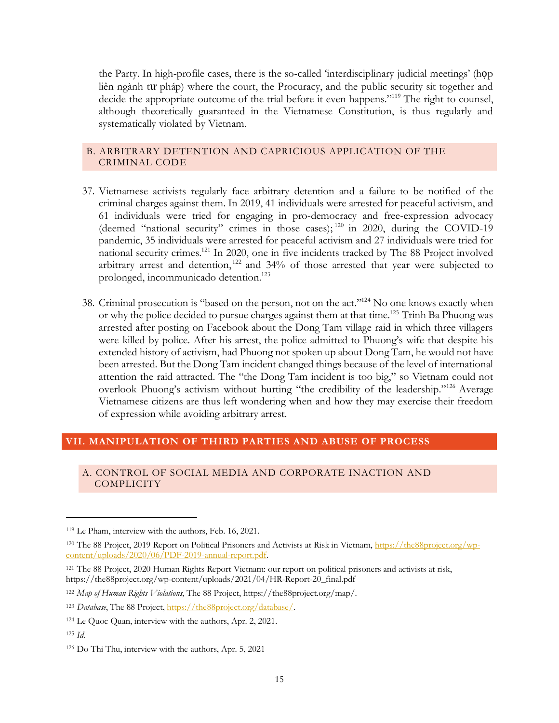the Party. In high-profile cases, there is the so-called 'interdisciplinary judicial meetings' (họp liên ngành tư pháp) where the court, the Procuracy, and the public security sit together and decide the appropriate outcome of the trial before it even happens."<sup>119</sup> The right to counsel, although theoretically guaranteed in the Vietnamese Constitution, is thus regularly and systematically violated by Vietnam.

### B. ARBITRARY DETENTION AND CAPRICIOUS APPLICATION OF THE CRIMINAL CODE

- 37. Vietnamese activists regularly face arbitrary detention and a failure to be notified of the criminal charges against them. In 2019, 41 individuals were arrested for peaceful activism, and 61 individuals were tried for engaging in pro-democracy and free-expression advocacy (deemed "national security" crimes in those cases); <sup>120</sup> in 2020, during the COVID-19 pandemic, 35 individuals were arrested for peaceful activism and 27 individuals were tried for national security crimes.121 In 2020, one in five incidents tracked by The 88 Project involved arbitrary arrest and detention,<sup>122</sup> and  $34%$  of those arrested that year were subjected to prolonged, incommunicado detention.123
- 38. Criminal prosecution is "based on the person, not on the act."124 No one knows exactly when or why the police decided to pursue charges against them at that time. <sup>125</sup> Trinh Ba Phuong was arrested after posting on Facebook about the Dong Tam village raid in which three villagers were killed by police. After his arrest, the police admitted to Phuong's wife that despite his extended history of activism, had Phuong not spoken up about Dong Tam, he would not have been arrested. But the Dong Tam incident changed things because of the level of international attention the raid attracted. The "the Dong Tam incident is too big," so Vietnam could not overlook Phuong's activism without hurting "the credibility of the leadership."126 Average Vietnamese citizens are thus left wondering when and how they may exercise their freedom of expression while avoiding arbitrary arrest.

### **VII. MANIPULATION OF THIRD PARTIES AND ABUSE OF PROCESS**

#### A. CONTROL OF SOCIAL MEDIA AND CORPORATE INACTION AND **COMPLICITY**

<sup>119</sup> Le Pham, interview with the authors, Feb. 16, 2021.

<sup>&</sup>lt;sup>120</sup> The 88 Project, 2019 Report on Political Prisoners and Activists at Risk in Vietnam, https://the88project.org/wpcontent/uploads/2020/06/PDF-2019-annual-report.pdf.

<sup>121</sup> The 88 Project, 2020 Human Rights Report Vietnam: our report on political prisoners and activists at risk, https://the88project.org/wp-content/uploads/2021/04/HR-Report-20\_final.pdf

<sup>122</sup> *Map of Human Rights Violations*, The 88 Project, https://the88project.org/map/.

<sup>123</sup> *Database*, The 88 Project, https://the88project.org/database/.

<sup>124</sup> Le Quoc Quan, interview with the authors, Apr. 2, 2021.

<sup>125</sup> *Id.*

<sup>126</sup> Do Thi Thu, interview with the authors, Apr. 5, 2021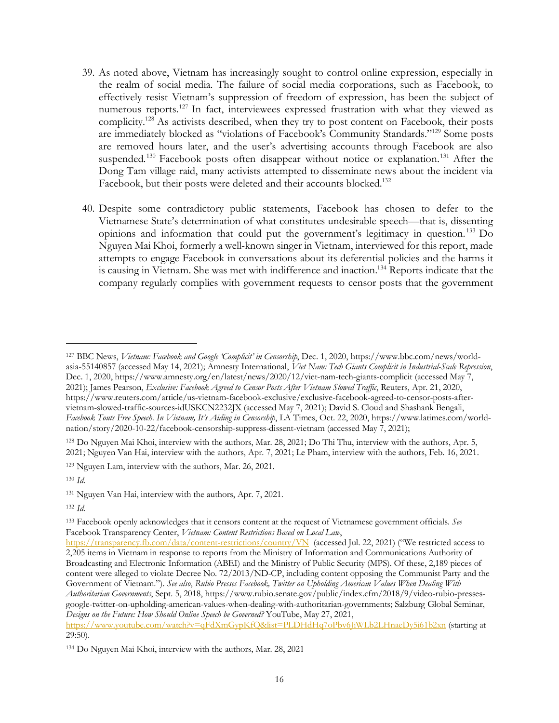- 39. As noted above, Vietnam has increasingly sought to control online expression, especially in the realm of social media. The failure of social media corporations, such as Facebook, to effectively resist Vietnam's suppression of freedom of expression, has been the subject of numerous reports.127 In fact, interviewees expressed frustration with what they viewed as complicity.<sup>128</sup> As activists described, when they try to post content on Facebook, their posts are immediately blocked as "violations of Facebook's Community Standards."129 Some posts are removed hours later, and the user's advertising accounts through Facebook are also suspended.<sup>130</sup> Facebook posts often disappear without notice or explanation.<sup>131</sup> After the Dong Tam village raid, many activists attempted to disseminate news about the incident via Facebook, but their posts were deleted and their accounts blocked.<sup>132</sup>
- 40. Despite some contradictory public statements, Facebook has chosen to defer to the Vietnamese State's determination of what constitutes undesirable speech—that is, dissenting opinions and information that could put the government's legitimacy in question. <sup>133</sup> Do Nguyen Mai Khoi, formerly a well-known singer in Vietnam, interviewed for this report, made attempts to engage Facebook in conversations about its deferential policies and the harms it is causing in Vietnam. She was met with indifference and inaction.<sup>134</sup> Reports indicate that the company regularly complies with government requests to censor posts that the government

 $\overline{\phantom{a}}$ 

<sup>132</sup> *Id.*

<sup>127</sup> BBC News, *Vietnam: Facebook and Google 'Complicit' in Censorship*, Dec. 1, 2020, https://www.bbc.com/news/worldasia-55140857 (accessed May 14, 2021); Amnesty International, *Viet Nam: Tech Giants Complicit in Industrial-Scale Repression*, Dec. 1, 2020, https://www.amnesty.org/en/latest/news/2020/12/viet-nam-tech-giants-complicit (accessed May 7, 2021); James Pearson, *Exclusive: Facebook Agreed to Censor Posts After Vietnam Slowed Traffic*, Reuters, Apr. 21, 2020, https://www.reuters.com/article/us-vietnam-facebook-exclusive/exclusive-facebook-agreed-to-censor-posts-aftervietnam-slowed-traffic-sources-idUSKCN2232JX (accessed May 7, 2021); David S. Cloud and Shashank Bengali, *Facebook Touts Free Speech. In Vietnam, It's Aiding in Censorship*, LA Times, Oct. 22, 2020, https://www.latimes.com/worldnation/story/2020-10-22/facebook-censorship-suppress-dissent-vietnam (accessed May 7, 2021);

<sup>128</sup> Do Nguyen Mai Khoi, interview with the authors, Mar. 28, 2021; Do Thi Thu, interview with the authors, Apr. 5, 2021; Nguyen Van Hai, interview with the authors, Apr. 7, 2021; Le Pham, interview with the authors, Feb. 16, 2021.

<sup>129</sup> Nguyen Lam, interview with the authors, Mar. 26, 2021.

<sup>130</sup> *Id.*

<sup>131</sup> Nguyen Van Hai, interview with the authors, Apr. 7, 2021.

<sup>133</sup> Facebook openly acknowledges that it censors content at the request of Vietnamese government officials. *See*  Facebook Transparency Center, *Vietnam: Content Restrictions Based on Local Law*,

https://transparency.fb.com/data/content-restrictions/country/VN (accessed Jul. 22, 2021) ("We restricted access to 2,205 items in Vietnam in response to reports from the Ministry of Information and Communications Authority of Broadcasting and Electronic Information (ABEI) and the Ministry of Public Security (MPS). Of these, 2,189 pieces of content were alleged to violate Decree No. 72/2013/ND-CP, including content opposing the Communist Party and the Government of Vietnam."). *See also*, *Rubio Presses Facebook, Twitter on Upholding American Values When Dealing With Authoritarian Governments*, Sept. 5, 2018, https://www.rubio.senate.gov/public/index.cfm/2018/9/video-rubio-pressesgoogle-twitter-on-upholding-american-values-when-dealing-with-authoritarian-governments; Salzburg Global Seminar, *Designs on the Future: How Should Online Speech be Governed?* YouTube, May 27, 2021,

https://www.youtube.com/watch?v=qFdXmGypKfQ&list=PLDHdHq7oPbv6JiWLb2LHnaeDy5i61b2xn (starting at 29:50).

<sup>134</sup> Do Nguyen Mai Khoi, interview with the authors, Mar. 28, 2021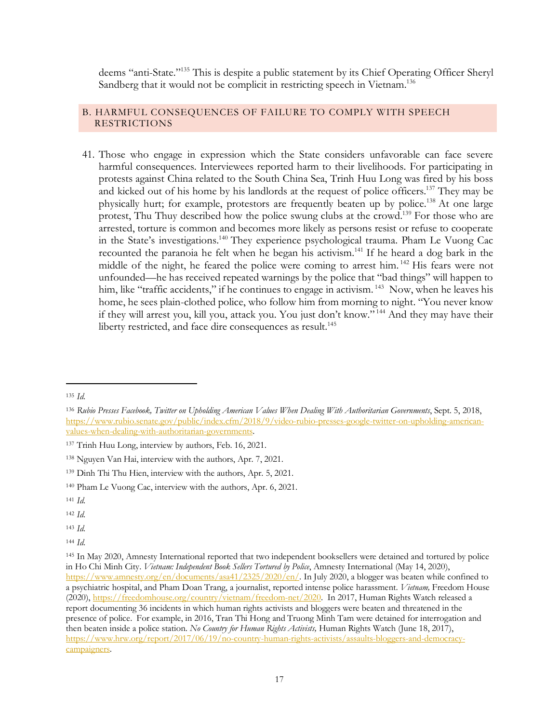deems "anti-State."135 This is despite a public statement by its Chief Operating Officer Sheryl Sandberg that it would not be complicit in restricting speech in Vietnam.<sup>136</sup>

## B. HARMFUL CONSEQUENCES OF FAILURE TO COMPLY WITH SPEECH RESTRICTIONS

41. Those who engage in expression which the State considers unfavorable can face severe harmful consequences. Interviewees reported harm to their livelihoods. For participating in protests against China related to the South China Sea, Trinh Huu Long was fired by his boss and kicked out of his home by his landlords at the request of police officers.<sup>137</sup> They may be physically hurt; for example, protestors are frequently beaten up by police.<sup>138</sup> At one large protest, Thu Thuy described how the police swung clubs at the crowd.<sup>139</sup> For those who are arrested, torture is common and becomes more likely as persons resist or refuse to cooperate in the State's investigations.<sup>140</sup> They experience psychological trauma. Pham Le Vuong Cac recounted the paranoia he felt when he began his activism.<sup>141</sup> If he heard a dog bark in the middle of the night, he feared the police were coming to arrest him. <sup>142</sup> His fears were not unfounded—he has received repeated warnings by the police that "bad things" will happen to him, like "traffic accidents," if he continues to engage in activism.<sup>143</sup> Now, when he leaves his home, he sees plain-clothed police, who follow him from morning to night. "You never know if they will arrest you, kill you, attack you. You just don't know." <sup>144</sup> And they may have their liberty restricted, and face dire consequences as result.<sup>145</sup>

 $\overline{\phantom{a}}$ 

<sup>143</sup> *Id.*

<sup>135</sup> *Id.*

<sup>136</sup> *Rubio Presses Facebook, Twitter on Upholding American Values When Dealing With Authoritarian Governments*, Sept. 5, 2018, https://www.rubio.senate.gov/public/index.cfm/2018/9/video-rubio-presses-google-twitter-on-upholding-americanvalues-when-dealing-with-authoritarian-governments.

<sup>137</sup> Trinh Huu Long, interview by authors, Feb. 16, 2021.

<sup>138</sup> Nguyen Van Hai, interview with the authors, Apr. 7, 2021.

<sup>139</sup> Dinh Thi Thu Hien, interview with the authors, Apr. 5, 2021.

<sup>140</sup> Pham Le Vuong Cac, interview with the authors, Apr. 6, 2021.

<sup>141</sup> *Id.*

<sup>142</sup> *Id.*

<sup>144</sup> *Id.*

<sup>145</sup> In May 2020, Amnesty International reported that two independent booksellers were detained and tortured by police in Ho Chi Minh City. *Vietnam: Independent Book Sellers Tortured by Police*, Amnesty International (May 14, 2020), https://www.amnesty.org/en/documents/asa41/2325/2020/en/. In July 2020, a blogger was beaten while confined to a psychiatric hospital, and Pham Doan Trang, a journalist, reported intense police harassment. *Vietnam,* Freedom House (2020), https://freedomhouse.org/country/vietnam/freedom-net/2020. In 2017, Human Rights Watch released a report documenting 36 incidents in which human rights activists and bloggers were beaten and threatened in the presence of police. For example, in 2016, Tran Thi Hong and Truong Minh Tam were detained for interrogation and then beaten inside a police station. *No Country for Human Rights Activists,* Human Rights Watch (June 18, 2017), https://www.hrw.org/report/2017/06/19/no-country-human-rights-activists/assaults-bloggers-and-democracycampaigners.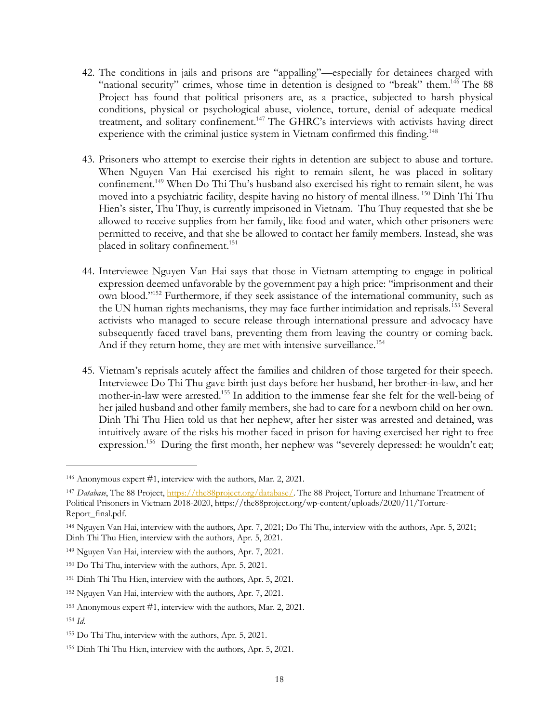- 42. The conditions in jails and prisons are "appalling"—especially for detainees charged with "national security" crimes, whose time in detention is designed to "break" them.<sup>146</sup> The 88 Project has found that political prisoners are, as a practice, subjected to harsh physical conditions, physical or psychological abuse, violence, torture, denial of adequate medical treatment, and solitary confinement.<sup>147</sup> The GHRC's interviews with activists having direct experience with the criminal justice system in Vietnam confirmed this finding.<sup>148</sup>
- 43. Prisoners who attempt to exercise their rights in detention are subject to abuse and torture. When Nguyen Van Hai exercised his right to remain silent, he was placed in solitary confinement.149 When Do Thi Thu's husband also exercised his right to remain silent, he was moved into a psychiatric facility, despite having no history of mental illness.<sup>150</sup> Dinh Thi Thu Hien's sister, Thu Thuy, is currently imprisoned in Vietnam. Thu Thuy requested that she be allowed to receive supplies from her family, like food and water, which other prisoners were permitted to receive, and that she be allowed to contact her family members. Instead, she was placed in solitary confinement.<sup>151</sup>
- 44. Interviewee Nguyen Van Hai says that those in Vietnam attempting to engage in political expression deemed unfavorable by the government pay a high price: "imprisonment and their own blood."152 Furthermore, if they seek assistance of the international community, such as the UN human rights mechanisms, they may face further intimidation and reprisals.<sup>153</sup> Several activists who managed to secure release through international pressure and advocacy have subsequently faced travel bans, preventing them from leaving the country or coming back. And if they return home, they are met with intensive surveillance.<sup>154</sup>
- 45. Vietnam's reprisals acutely affect the families and children of those targeted for their speech. Interviewee Do Thi Thu gave birth just days before her husband, her brother-in-law, and her mother-in-law were arrested.155 In addition to the immense fear she felt for the well-being of her jailed husband and other family members, she had to care for a newborn child on her own. Dinh Thi Thu Hien told us that her nephew, after her sister was arrested and detained, was intuitively aware of the risks his mother faced in prison for having exercised her right to free expression.<sup>156</sup> During the first month, her nephew was "severely depressed: he wouldn't eat;

 $\overline{\phantom{a}}$ 

<sup>146</sup> Anonymous expert #1, interview with the authors, Mar. 2, 2021.

<sup>147</sup> *Database*, The 88 Project, https://the88project.org/database/. The 88 Project, Torture and Inhumane Treatment of Political Prisoners in Vietnam 2018-2020, https://the88project.org/wp-content/uploads/2020/11/Torture-Report\_final.pdf.

<sup>148</sup> Nguyen Van Hai, interview with the authors, Apr. 7, 2021; Do Thi Thu, interview with the authors, Apr. 5, 2021; Dinh Thi Thu Hien, interview with the authors, Apr. 5, 2021.

<sup>149</sup> Nguyen Van Hai, interview with the authors, Apr. 7, 2021.

<sup>150</sup> Do Thi Thu, interview with the authors, Apr. 5, 2021.

<sup>151</sup> Dinh Thi Thu Hien, interview with the authors, Apr. 5, 2021.

<sup>152</sup> Nguyen Van Hai, interview with the authors, Apr. 7, 2021.

<sup>153</sup> Anonymous expert #1, interview with the authors, Mar. 2, 2021.

<sup>154</sup> *Id.*

<sup>155</sup> Do Thi Thu, interview with the authors, Apr. 5, 2021.

<sup>156</sup> Dinh Thi Thu Hien, interview with the authors, Apr. 5, 2021.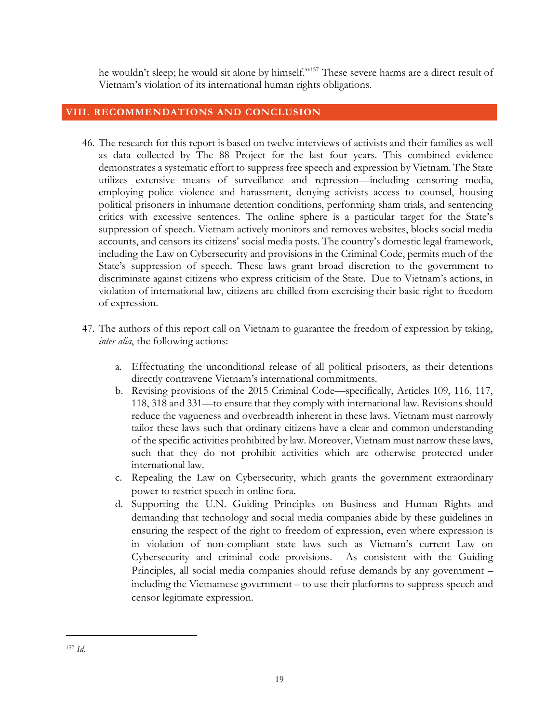he wouldn't sleep; he would sit alone by himself."157 These severe harms are a direct result of Vietnam's violation of its international human rights obligations.

## **VIII. RECOMMENDATIONS AND CONCLUSION**

- 46. The research for this report is based on twelve interviews of activists and their families as well as data collected by The 88 Project for the last four years. This combined evidence demonstrates a systematic effort to suppress free speech and expression by Vietnam. The State utilizes extensive means of surveillance and repression—including censoring media, employing police violence and harassment, denying activists access to counsel, housing political prisoners in inhumane detention conditions, performing sham trials, and sentencing critics with excessive sentences. The online sphere is a particular target for the State's suppression of speech. Vietnam actively monitors and removes websites, blocks social media accounts, and censors its citizens' social media posts. The country's domestic legal framework, including the Law on Cybersecurity and provisions in the Criminal Code, permits much of the State's suppression of speech. These laws grant broad discretion to the government to discriminate against citizens who express criticism of the State. Due to Vietnam's actions, in violation of international law, citizens are chilled from exercising their basic right to freedom of expression.
- 47. The authors of this report call on Vietnam to guarantee the freedom of expression by taking, *inter alia*, the following actions:
	- a. Effectuating the unconditional release of all political prisoners, as their detentions directly contravene Vietnam's international commitments.
	- b. Revising provisions of the 2015 Criminal Code—specifically, Articles 109, 116, 117, 118, 318 and 331—to ensure that they comply with international law. Revisions should reduce the vagueness and overbreadth inherent in these laws. Vietnam must narrowly tailor these laws such that ordinary citizens have a clear and common understanding of the specific activities prohibited by law. Moreover,Vietnam must narrow these laws, such that they do not prohibit activities which are otherwise protected under international law.
	- c. Repealing the Law on Cybersecurity, which grants the government extraordinary power to restrict speech in online fora.
	- d. Supporting the U.N. Guiding Principles on Business and Human Rights and demanding that technology and social media companies abide by these guidelines in ensuring the respect of the right to freedom of expression, even where expression is in violation of non-compliant state laws such as Vietnam's current Law on Cybersecurity and criminal code provisions. As consistent with the Guiding Principles, all social media companies should refuse demands by any government – including the Vietnamese government – to use their platforms to suppress speech and censor legitimate expression.

<sup>157</sup> *Id.*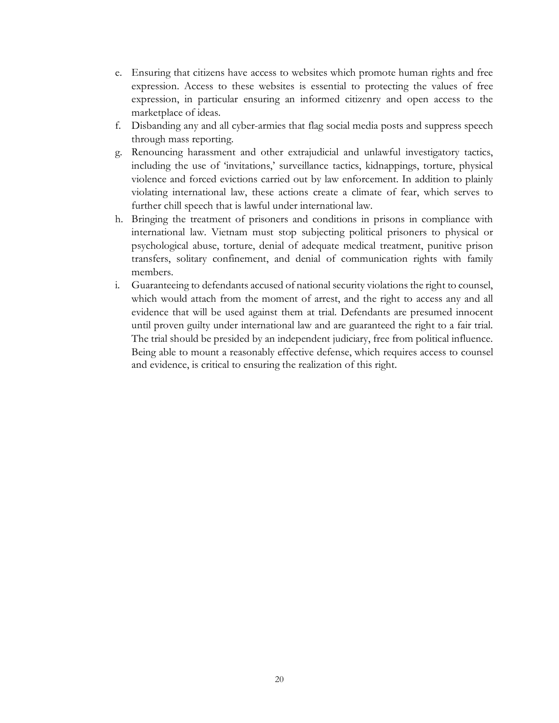- e. Ensuring that citizens have access to websites which promote human rights and free expression. Access to these websites is essential to protecting the values of free expression, in particular ensuring an informed citizenry and open access to the marketplace of ideas.
- f. Disbanding any and all cyber-armies that flag social media posts and suppress speech through mass reporting.
- g. Renouncing harassment and other extrajudicial and unlawful investigatory tactics, including the use of 'invitations,' surveillance tactics, kidnappings, torture, physical violence and forced evictions carried out by law enforcement. In addition to plainly violating international law, these actions create a climate of fear, which serves to further chill speech that is lawful under international law.
- h. Bringing the treatment of prisoners and conditions in prisons in compliance with international law. Vietnam must stop subjecting political prisoners to physical or psychological abuse, torture, denial of adequate medical treatment, punitive prison transfers, solitary confinement, and denial of communication rights with family members.
- i. Guaranteeing to defendants accused of national security violations the right to counsel, which would attach from the moment of arrest, and the right to access any and all evidence that will be used against them at trial. Defendants are presumed innocent until proven guilty under international law and are guaranteed the right to a fair trial. The trial should be presided by an independent judiciary, free from political influence. Being able to mount a reasonably effective defense, which requires access to counsel and evidence, is critical to ensuring the realization of this right.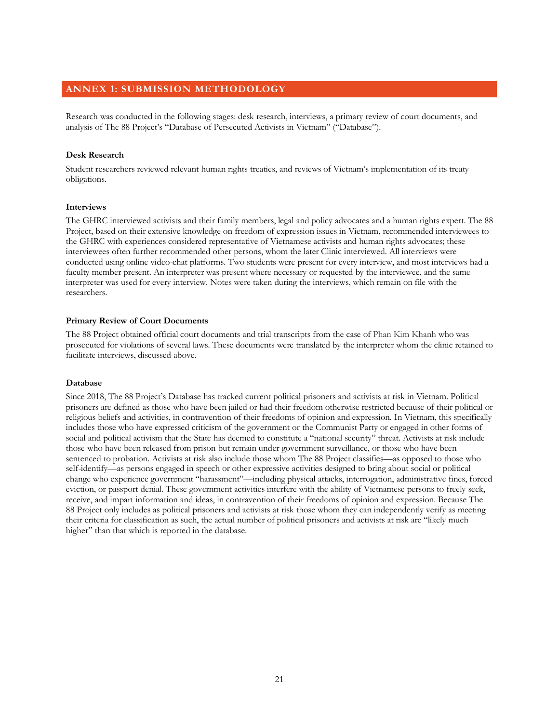#### **ANNEX 1: SUBMISSION METHODOLOGY**

Research was conducted in the following stages: desk research, interviews, a primary review of court documents, and analysis of The 88 Project's "Database of Persecuted Activists in Vietnam" ("Database").

#### **Desk Research**

Student researchers reviewed relevant human rights treaties, and reviews of Vietnam's implementation of its treaty obligations.

#### **Interviews**

The GHRC interviewed activists and their family members, legal and policy advocates and a human rights expert. The 88 Project, based on their extensive knowledge on freedom of expression issues in Vietnam, recommended interviewees to the GHRC with experiences considered representative of Vietnamese activists and human rights advocates; these interviewees often further recommended other persons, whom the later Clinic interviewed. All interviews were conducted using online video-chat platforms. Two students were present for every interview, and most interviews had a faculty member present. An interpreter was present where necessary or requested by the interviewee, and the same interpreter was used for every interview. Notes were taken during the interviews, which remain on file with the researchers.

#### **Primary Review of Court Documents**

The 88 Project obtained official court documents and trial transcripts from the case of Phan Kim Khanh who was prosecuted for violations of several laws. These documents were translated by the interpreter whom the clinic retained to facilitate interviews, discussed above.

#### **Database**

Since 2018, The 88 Project's Database has tracked current political prisoners and activists at risk in Vietnam. Political prisoners are defined as those who have been jailed or had their freedom otherwise restricted because of their political or religious beliefs and activities, in contravention of their freedoms of opinion and expression. In Vietnam, this specifically includes those who have expressed criticism of the government or the Communist Party or engaged in other forms of social and political activism that the State has deemed to constitute a "national security" threat. Activists at risk include those who have been released from prison but remain under government surveillance, or those who have been sentenced to probation. Activists at risk also include those whom The 88 Project classifies—as opposed to those who self-identify—as persons engaged in speech or other expressive activities designed to bring about social or political change who experience government "harassment"—including physical attacks, interrogation, administrative fines, forced eviction, or passport denial. These government activities interfere with the ability of Vietnamese persons to freely seek, receive, and impart information and ideas, in contravention of their freedoms of opinion and expression. Because The 88 Project only includes as political prisoners and activists at risk those whom they can independently verify as meeting their criteria for classification as such, the actual number of political prisoners and activists at risk are "likely much higher" than that which is reported in the database.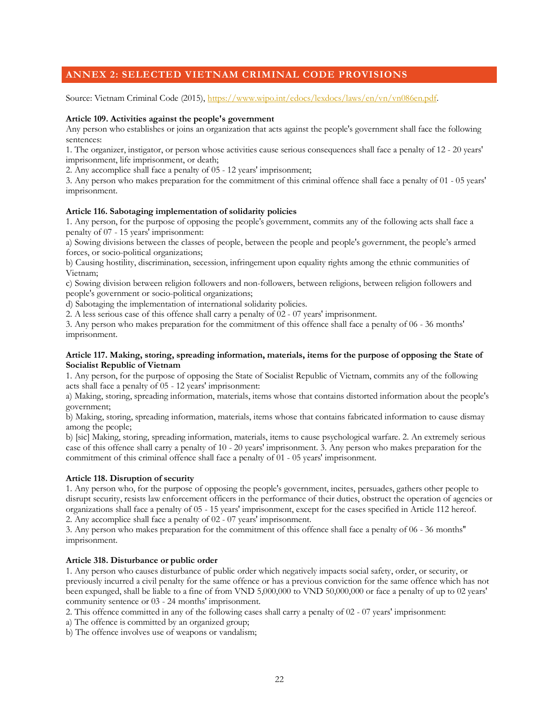## **ANNEX 2: SELECTED VIETNAM CRIMINAL CODE PROVISIONS**

Source: Vietnam Criminal Code (2015), https://www.wipo.int/edocs/lexdocs/laws/en/vn/vn086en.pdf.

#### **Article 109. Activities against the people's government**

Any person who establishes or joins an organization that acts against the people's government shall face the following sentences:

1. The organizer, instigator, or person whose activities cause serious consequences shall face a penalty of 12 - 20 years' imprisonment, life imprisonment, or death;

2. Any accomplice shall face a penalty of 05 - 12 years' imprisonment;

3. Any person who makes preparation for the commitment of this criminal offence shall face a penalty of 01 - 05 years' imprisonment.

#### **Article 116. Sabotaging implementation of solidarity policies**

1. Any person, for the purpose of opposing the people's government, commits any of the following acts shall face a penalty of 07 - 15 years' imprisonment:

a) Sowing divisions between the classes of people, between the people and people's government, the people's armed forces, or socio-political organizations;

b) Causing hostility, discrimination, secession, infringement upon equality rights among the ethnic communities of Vietnam;

c) Sowing division between religion followers and non-followers, between religions, between religion followers and people's government or socio-political organizations;

d) Sabotaging the implementation of international solidarity policies.

2. A less serious case of this offence shall carry a penalty of 02 - 07 years' imprisonment.

3. Any person who makes preparation for the commitment of this offence shall face a penalty of 06 - 36 months' imprisonment.

#### **Article 117. Making, storing, spreading information, materials, items for the purpose of opposing the State of Socialist Republic of Vietnam**

1. Any person, for the purpose of opposing the State of Socialist Republic of Vietnam, commits any of the following acts shall face a penalty of 05 - 12 years' imprisonment:

a) Making, storing, spreading information, materials, items whose that contains distorted information about the people's government;

b) Making, storing, spreading information, materials, items whose that contains fabricated information to cause dismay among the people;

b) [sic] Making, storing, spreading information, materials, items to cause psychological warfare. 2. An extremely serious case of this offence shall carry a penalty of 10 - 20 years' imprisonment. 3. Any person who makes preparation for the commitment of this criminal offence shall face a penalty of 01 - 05 years' imprisonment.

#### **Article 118. Disruption of security**

1. Any person who, for the purpose of opposing the people's government, incites, persuades, gathers other people to disrupt security, resists law enforcement officers in the performance of their duties, obstruct the operation of agencies or organizations shall face a penalty of 05 - 15 years' imprisonment, except for the cases specified in Article 112 hereof. 2. Any accomplice shall face a penalty of 02 - 07 years' imprisonment.

3. Any person who makes preparation for the commitment of this offence shall face a penalty of 06 - 36 months'' imprisonment.

#### **Article 318. Disturbance or public order**

1. Any person who causes disturbance of public order which negatively impacts social safety, order, or security, or previously incurred a civil penalty for the same offence or has a previous conviction for the same offence which has not been expunged, shall be liable to a fine of from VND 5,000,000 to VND 50,000,000 or face a penalty of up to 02 years' community sentence or 03 - 24 months' imprisonment.

2. This offence committed in any of the following cases shall carry a penalty of 02 - 07 years' imprisonment:

a) The offence is committed by an organized group;

b) The offence involves use of weapons or vandalism;